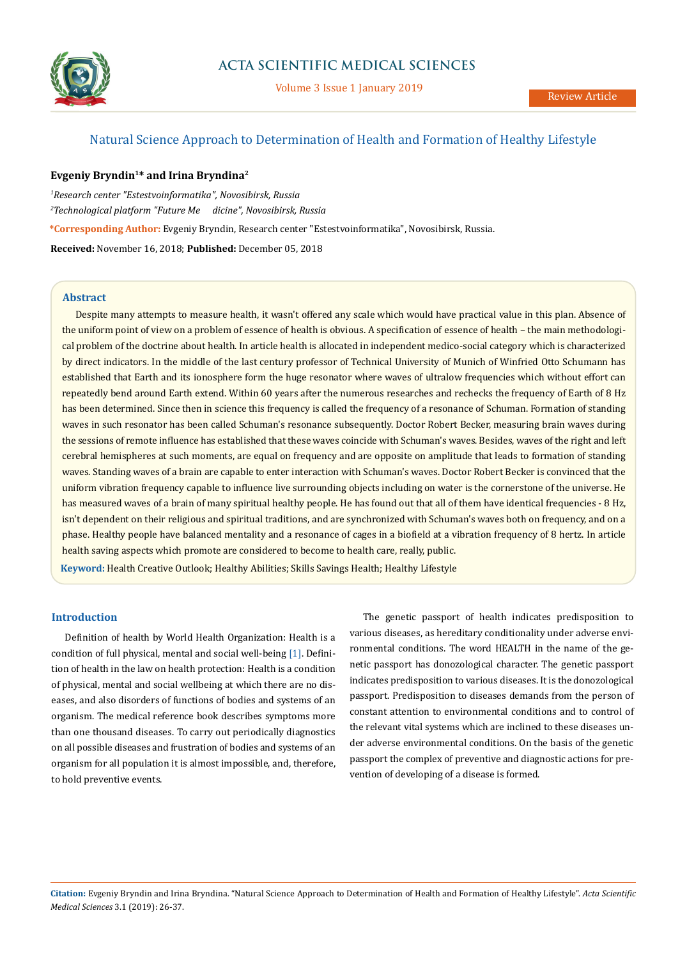

# Natural Science Approach to Determination of Health and Formation of Healthy Lifestyle

## **Evgeniy Bryndin1\* and Irina Bryndina2**

*1 Research center "Estestvoinformatika", Novosibirsk, Russia 2 Technological platform "Future Me dicine", Novosibirsk, Russia* **\*Corresponding Author:** Evgeniy Bryndin, Research center "Estestvoinformatika", Novosibirsk, Russia. **Received:** November 16, 2018; **Published:** December 05, 2018

## **Abstract**

Despite many attempts to measure health, it wasn't offered any scale which would have practical value in this plan. Absence of the uniform point of view on a problem of essence of health is obvious. A specification of essence of health – the main methodological problem of the doctrine about health. In article health is allocated in independent medico-social category which is characterized by direct indicators. In the middle of the last century professor of Technical University of Munich of Winfried Otto Schumann has established that Earth and its ionosphere form the huge resonator where waves of ultralow frequencies which without effort can repeatedly bend around Earth extend. Within 60 years after the numerous researches and rechecks the frequency of Earth of 8 Hz has been determined. Since then in science this frequency is called the frequency of a resonance of Schuman. Formation of standing waves in such resonator has been called Schuman's resonance subsequently. Doctor Robert Becker, measuring brain waves during the sessions of remote influence has established that these waves coincide with Schuman's waves. Besides, waves of the right and left cerebral hemispheres at such moments, are equal on frequency and are opposite on amplitude that leads to formation of standing waves. Standing waves of a brain are capable to enter interaction with Schuman's waves. Doctor Robert Becker is convinced that the uniform vibration frequency capable to influence live surrounding objects including on water is the cornerstone of the universe. He has measured waves of a brain of many spiritual healthy people. He has found out that all of them have identical frequencies - 8 Hz, isn't dependent on their religious and spiritual traditions, and are synchronized with Schuman's waves both on frequency, and on a phase. Healthy people have balanced mentality and a resonance of cages in a biofield at a vibration frequency of 8 hertz. In article health saving aspects which promote are considered to become to health care, really, public.

**Keyword:** Health Creative Outlook; Healthу Abilities; Skills Savings Health; Healthy Lifestyle

Definition of health by World Health Organization: Health is a condition of full physical, mental and social well-being [1]. Definition of health in the law on health protection: Health is a condition of physical, mental and social wellbeing at which there are no diseases, and also disorders of functions of bodies and systems of an organism. The medical reference book describes symptoms more than one thousand diseases. To carry out periodically diagnostics on all possible diseases and frustration of bodies and systems of an organism for all population it is almost impossible, and, therefore, to hold preventive events.

**Introduction** The genetic passport of health indicates predisposition to various diseases, as hereditary conditionality under adverse environmental conditions. The word HEALTH in the name of the genetic passport has donozological character. The genetic passport indicates predisposition to various diseases. It is the donozological passport. Predisposition to diseases demands from the person of constant attention to environmental conditions and to control of the relevant vital systems which are inclined to these diseases under adverse environmental conditions. On the basis of the genetic passport the complex of preventive and diagnostic actions for prevention of developing of a disease is formed.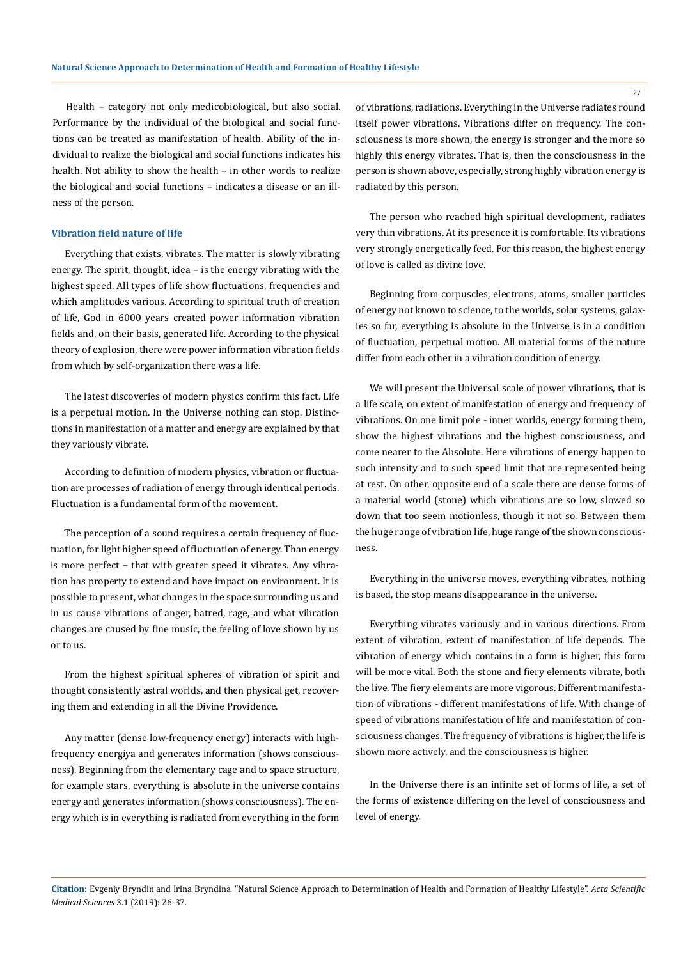Performance by the individual of the biological and social functions can be treated as manifestation of health. Ability of the individual to realize the biological and social functions indicates his health. Not ability to show the health – in other words to realize the biological and social functions – indicates a disease or an illness of the person.

### **Vibration field nature of life**

Everything that exists, vibrates. The matter is slowly vibrating energy. The spirit, thought, idea – is the energy vibrating with the highest speed. All types of life show fluctuations, frequencies and which amplitudes various. According to spiritual truth of creation of life, God in 6000 years created power information vibration fields and, on their basis, generated life. According to the physical theory of explosion, there were power information vibration fields from which by self-organization there was a life.

The latest discoveries of modern physics confirm this fact. Life is a perpetual motion. In the Universe nothing can stop. Distinctions in manifestation of a matter and energy are explained by that they variously vibrate.

According to definition of modern physics, vibration or fluctuation are processes of radiation of energy through identical periods. Fluctuation is a fundamental form of the movement.

The perception of a sound requires a certain frequency of fluctuation, for light higher speed of fluctuation of energy. Than energy is more perfect – that with greater speed it vibrates. Any vibration has property to extend and have impact on environment. It is possible to present, what changes in the space surrounding us and in us cause vibrations of anger, hatred, rage, and what vibration changes are caused by fine music, the feeling of love shown by us or to us.

From the highest spiritual spheres of vibration of spirit and thought consistently astral worlds, and then physical get, recovering them and extending in all the Divine Providence.

Any matter (dense low-frequency energy) interacts with highfrequency energiya and generates information (shows consciousness). Beginning from the elementary cage and to space structure, for example stars, everything is absolute in the universe contains energy and generates information (shows consciousness). The energy which is in everything is radiated from everything in the form

of vibrations, radiations. Everything in the Universe radiates round itself power vibrations. Vibrations differ on frequency. The consciousness is more shown, the energy is stronger and the more so highly this energy vibrates. That is, then the consciousness in the person is shown above, especially, strong highly vibration energy is radiated by this person.

The person who reached high spiritual development, radiates very thin vibrations. At its presence it is comfortable. Its vibrations very strongly energetically feed. For this reason, the highest energy of love is called as divine love.

Beginning from corpuscles, electrons, atoms, smaller particles of energy not known to science, to the worlds, solar systems, galaxies so far, everything is absolute in the Universe is in a condition of fluctuation, perpetual motion. All material forms of the nature differ from each other in a vibration condition of energy.

We will present the Universal scale of power vibrations, that is a life scale, on extent of manifestation of energy and frequency of vibrations. On one limit pole - inner worlds, energy forming them, show the highest vibrations and the highest consciousness, and come nearer to the Absolute. Here vibrations of energy happen to such intensity and to such speed limit that are represented being at rest. On other, opposite end of a scale there are dense forms of a material world (stone) which vibrations are so low, slowed so down that too seem motionless, though it not so. Between them the huge range of vibration life, huge range of the shown consciousness.

Everything in the universe moves, everything vibrates, nothing is based, the stop means disappearance in the universe.

Everything vibrates variously and in various directions. From extent of vibration, extent of manifestation of life depends. The vibration of energy which contains in a form is higher, this form will be more vital. Both the stone and fiery elements vibrate, both the live. The fiery elements are more vigorous. Different manifestation of vibrations - different manifestations of life. With change of speed of vibrations manifestation of life and manifestation of consciousness changes. The frequency of vibrations is higher, the life is shown more actively, and the consciousness is higher.

In the Universe there is an infinite set of forms of life, a set of the forms of existence differing on the level of consciousness and level of energy.

**Citation:** Evgeniy Bryndin and Irina Bryndina. "Natural Science Approach to Determination of Health and Formation of Healthy Lifestyle". *Acta Scientific Medical Sciences* 3.1 (2019): 26-37.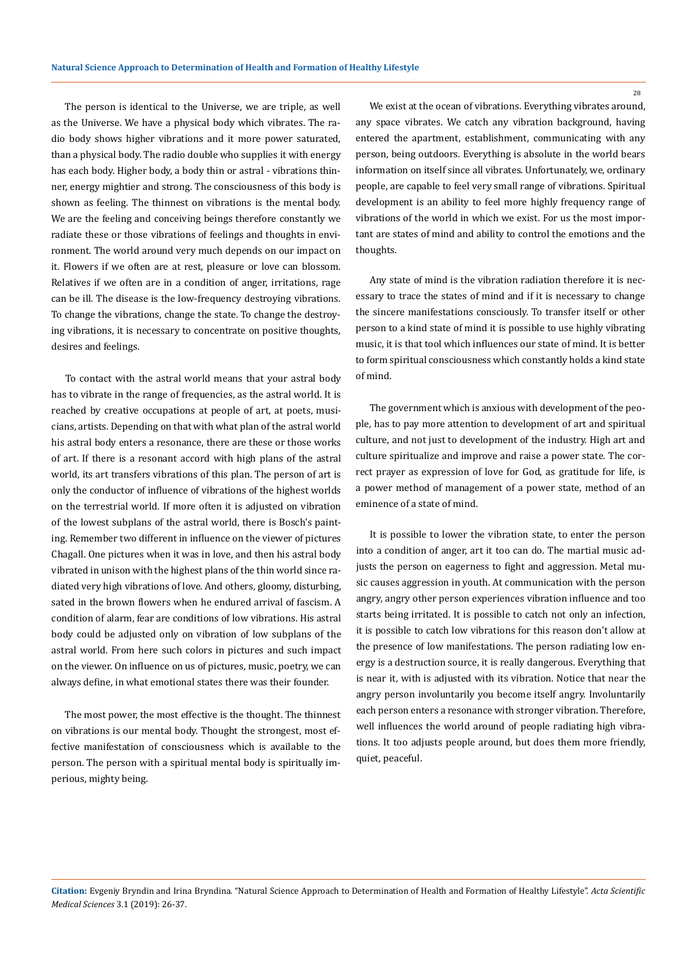The person is identical to the Universe, we are triple, as well as the Universe. We have a physical body which vibrates. The radio body shows higher vibrations and it more power saturated, than a physical body. The radio double who supplies it with energy has each body. Higher body, a body thin or astral - vibrations thinner, energy mightier and strong. The consciousness of this body is shown as feeling. The thinnest on vibrations is the mental body. We are the feeling and conceiving beings therefore constantly we radiate these or those vibrations of feelings and thoughts in environment. The world around very much depends on our impact on it. Flowers if we often are at rest, pleasure or love can blossom. Relatives if we often are in a condition of anger, irritations, rage can be ill. The disease is the low-frequency destroying vibrations. To change the vibrations, change the state. To change the destroying vibrations, it is necessary to concentrate on positive thoughts, desires and feelings.

To contact with the astral world means that your astral body has to vibrate in the range of frequencies, as the astral world. It is reached by creative occupations at people of art, at poets, musicians, artists. Depending on that with what plan of the astral world his astral body enters a resonance, there are these or those works of art. If there is a resonant accord with high plans of the astral world, its art transfers vibrations of this plan. The person of art is only the conductor of influence of vibrations of the highest worlds on the terrestrial world. If more often it is adjusted on vibration of the lowest subplans of the astral world, there is Bosch's painting. Remember two different in influence on the viewer of pictures Chagall. One pictures when it was in love, and then his astral body vibrated in unison with the highest plans of the thin world since radiated very high vibrations of love. And others, gloomy, disturbing, sated in the brown flowers when he endured arrival of fascism. A condition of alarm, fear are conditions of low vibrations. His astral body could be adjusted only on vibration of low subplans of the astral world. From here such colors in pictures and such impact on the viewer. On influence on us of pictures, music, poetry, we can always define, in what emotional states there was their founder.

The most power, the most effective is the thought. The thinnest on vibrations is our mental body. Thought the strongest, most effective manifestation of consciousness which is available to the person. The person with a spiritual mental body is spiritually imperious, mighty being.

We exist at the ocean of vibrations. Everything vibrates around, any space vibrates. We catch any vibration background, having entered the apartment, establishment, communicating with any person, being outdoors. Everything is absolute in the world bears information on itself since all vibrates. Unfortunately, we, ordinary people, are capable to feel very small range of vibrations. Spiritual development is an ability to feel more highly frequency range of vibrations of the world in which we exist. For us the most important are states of mind and ability to control the emotions and the thoughts.

Any state of mind is the vibration radiation therefore it is necessary to trace the states of mind and if it is necessary to change the sincere manifestations consciously. To transfer itself or other person to a kind state of mind it is possible to use highly vibrating music, it is that tool which influences our state of mind. It is better to form spiritual consciousness which constantly holds a kind state of mind.

The government which is anxious with development of the people, has to pay more attention to development of art and spiritual culture, and not just to development of the industry. High art and culture spiritualize and improve and raise a power state. The correct prayer as expression of love for God, as gratitude for life, is a power method of management of a power state, method of an eminence of a state of mind.

It is possible to lower the vibration state, to enter the person into a condition of anger, art it too can do. The martial music adjusts the person on eagerness to fight and aggression. Metal music causes aggression in youth. At communication with the person angry, angry other person experiences vibration influence and too starts being irritated. It is possible to catch not only an infection, it is possible to catch low vibrations for this reason don't allow at the presence of low manifestations. The person radiating low energy is a destruction source, it is really dangerous. Everything that is near it, with is adjusted with its vibration. Notice that near the angry person involuntarily you become itself angry. Involuntarily each person enters a resonance with stronger vibration. Therefore, well influences the world around of people radiating high vibrations. It too adjusts people around, but does them more friendly, quiet, peaceful.

**Citation:** Evgeniy Bryndin and Irina Bryndina. "Natural Science Approach to Determination of Health and Formation of Healthy Lifestyle". *Acta Scientific Medical Sciences* 3.1 (2019): 26-37.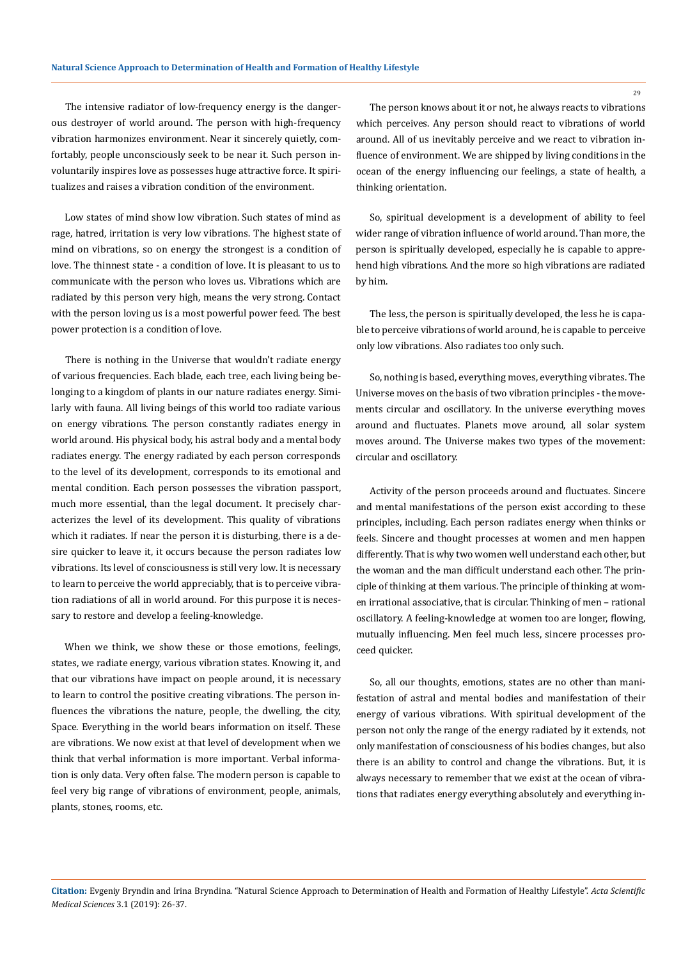The intensive radiator of low-frequency energy is the dangerous destroyer of world around. The person with high-frequency vibration harmonizes environment. Near it sincerely quietly, comfortably, people unconsciously seek to be near it. Such person involuntarily inspires love as possesses huge attractive force. It spiritualizes and raises a vibration condition of the environment.

Low states of mind show low vibration. Such states of mind as rage, hatred, irritation is very low vibrations. The highest state of mind on vibrations, so on energy the strongest is a condition of love. The thinnest state - a condition of love. It is pleasant to us to communicate with the person who loves us. Vibrations which are radiated by this person very high, means the very strong. Contact with the person loving us is a most powerful power feed. The best power protection is a condition of love.

There is nothing in the Universe that wouldn't radiate energy of various frequencies. Each blade, each tree, each living being belonging to a kingdom of plants in our nature radiates energy. Similarly with fauna. All living beings of this world too radiate various on energy vibrations. The person constantly radiates energy in world around. His physical body, his astral body and a mental body radiates energy. The energy radiated by each person corresponds to the level of its development, corresponds to its emotional and mental condition. Each person possesses the vibration passport, much more essential, than the legal document. It precisely characterizes the level of its development. This quality of vibrations which it radiates. If near the person it is disturbing, there is a desire quicker to leave it, it occurs because the person radiates low vibrations. Its level of consciousness is still very low. It is necessary to learn to perceive the world appreciably, that is to perceive vibration radiations of all in world around. For this purpose it is necessary to restore and develop a feeling-knowledge.

When we think, we show these or those emotions, feelings, states, we radiate energy, various vibration states. Knowing it, and that our vibrations have impact on people around, it is necessary to learn to control the positive creating vibrations. The person influences the vibrations the nature, people, the dwelling, the city, Space. Everything in the world bears information on itself. These are vibrations. We now exist at that level of development when we think that verbal information is more important. Verbal information is only data. Very often false. The modern person is capable to feel very big range of vibrations of environment, people, animals, plants, stones, rooms, etc.

The person knows about it or not, he always reacts to vibrations which perceives. Any person should react to vibrations of world around. All of us inevitably perceive and we react to vibration influence of environment. We are shipped by living conditions in the ocean of the energy influencing our feelings, a state of health, a thinking orientation.

So, spiritual development is a development of ability to feel wider range of vibration influence of world around. Than more, the person is spiritually developed, especially he is capable to apprehend high vibrations. And the more so high vibrations are radiated by him.

The less, the person is spiritually developed, the less he is capable to perceive vibrations of world around, he is capable to perceive only low vibrations. Also radiates too only such.

So, nothing is based, everything moves, everything vibrates. The Universe moves on the basis of two vibration principles - the movements circular and oscillatory. In the universe everything moves around and fluctuates. Planets move around, all solar system moves around. The Universe makes two types of the movement: circular and oscillatory.

Activity of the person proceeds around and fluctuates. Sincere and mental manifestations of the person exist according to these principles, including. Each person radiates energy when thinks or feels. Sincere and thought processes at women and men happen differently. That is why two women well understand each other, but the woman and the man difficult understand each other. The principle of thinking at them various. The principle of thinking at women irrational associative, that is circular. Thinking of men – rational oscillatory. A feeling-knowledge at women too are longer, flowing, mutually influencing. Men feel much less, sincere processes proceed quicker.

So, all our thoughts, emotions, states are no other than manifestation of astral and mental bodies and manifestation of their energy of various vibrations. With spiritual development of the person not only the range of the energy radiated by it extends, not only manifestation of consciousness of his bodies changes, but also there is an ability to control and change the vibrations. But, it is always necessary to remember that we exist at the ocean of vibrations that radiates energy everything absolutely and everything in-

**Citation:** Evgeniy Bryndin and Irina Bryndina. "Natural Science Approach to Determination of Health and Formation of Healthy Lifestyle". *Acta Scientific Medical Sciences* 3.1 (2019): 26-37.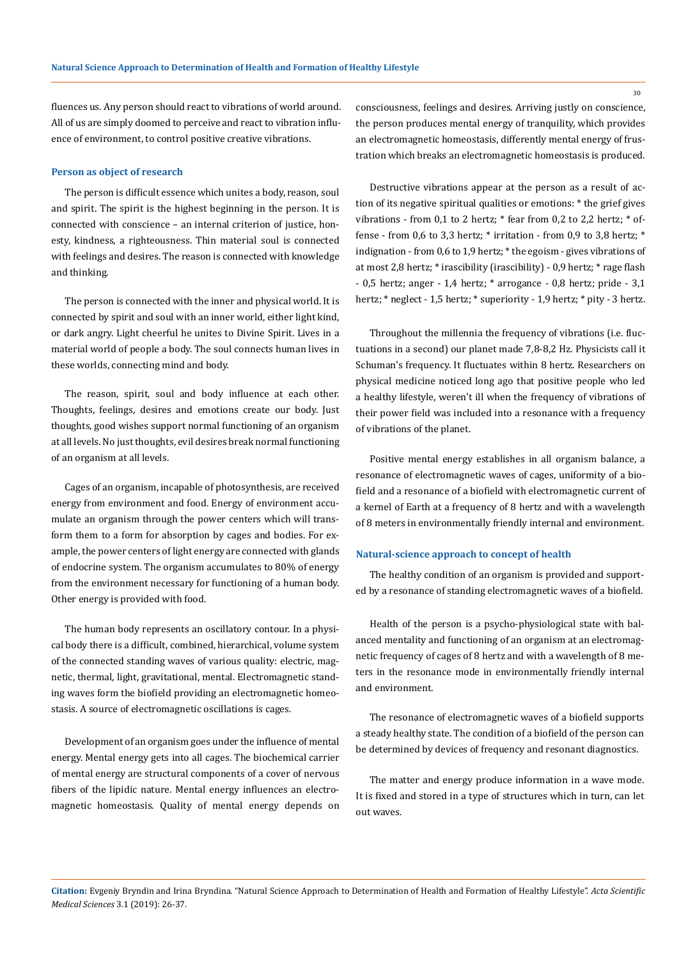fluences us. Any person should react to vibrations of world around. All of us are simply doomed to perceive and react to vibration influence of environment, to control positive creative vibrations.

#### **Person as object of research**

The person is difficult essence which unites a body, reason, soul and spirit. The spirit is the highest beginning in the person. It is connected with conscience – an internal criterion of justice, honesty, kindness, a righteousness. Thin material soul is connected with feelings and desires. The reason is connected with knowledge and thinking.

The person is connected with the inner and physical world. It is connected by spirit and soul with an inner world, either light kind, or dark angry. Light cheerful he unites to Divine Spirit. Lives in a material world of people a body. The soul connects human lives in these worlds, connecting mind and body.

The reason, spirit, soul and body influence at each other. Thoughts, feelings, desires and emotions create our body. Just thoughts, good wishes support normal functioning of an organism at all levels. No just thoughts, evil desires break normal functioning of an organism at all levels.

Cages of an organism, incapable of photosynthesis, are received energy from environment and food. Energy of environment accumulate an organism through the power centers which will transform them to a form for absorption by cages and bodies. For example, the power centers of light energy are connected with glands of endocrine system. The organism accumulates to 80% of energy from the environment necessary for functioning of a human body. Other energy is provided with food.

The human body represents an oscillatory contour. In a physical body there is a difficult, combined, hierarchical, volume system of the connected standing waves of various quality: electric, magnetic, thermal, light, gravitational, mental. Electromagnetic standing waves form the biofield providing an electromagnetic homeostasis. A source of electromagnetic oscillations is cages.

Development of an organism goes under the influence of mental energy. Mental energy gets into all cages. The biochemical carrier of mental energy are structural components of a cover of nervous fibers of the lipidic nature. Mental energy influences an electromagnetic homeostasis. Quality of mental energy depends on consciousness, feelings and desires. Arriving justly on conscience, the person produces mental energy of tranquility, which provides an electromagnetic homeostasis, differently mental energy of frustration which breaks an electromagnetic homeostasis is produced.

Destructive vibrations appear at the person as a result of action of its negative spiritual qualities or emotions: \* the grief gives vibrations - from 0,1 to 2 hertz; \* fear from 0,2 to 2,2 hertz; \* offense - from 0,6 to 3,3 hertz; \* irritation - from 0,9 to 3,8 hertz; \* indignation - from 0,6 to 1,9 hertz; \* the egoism - gives vibrations of at most 2,8 hertz; \* irascibility (irascibility) - 0,9 hertz; \* rage flash - 0,5 hertz; anger - 1,4 hertz; \* arrogance - 0,8 hertz; pride - 3,1 hertz; \* neglect - 1,5 hertz; \* superiority - 1,9 hertz; \* pity - 3 hertz.

Throughout the millennia the frequency of vibrations (i.e. fluctuations in a second) our planet made 7,8-8,2 Hz. Physicists call it Schuman's frequency. It fluctuates within 8 hertz. Researchers on physical medicine noticed long ago that positive people who led a healthy lifestyle, weren't ill when the frequency of vibrations of their power field was included into a resonance with a frequency of vibrations of the planet.

Positive mental energy establishes in all organism balance, a resonance of electromagnetic waves of cages, uniformity of a biofield and a resonance of a biofield with electromagnetic current of a kernel of Earth at a frequency of 8 hertz and with a wavelength of 8 meters in environmentally friendly internal and environment.

#### **Natural-science approach to concept of health**

The healthy condition of an organism is provided and supported by a resonance of standing electromagnetic waves of a biofield.

Health of the person is a psycho-physiological state with balanced mentality and functioning of an organism at an electromagnetic frequency of cages of 8 hertz and with a wavelength of 8 meters in the resonance mode in environmentally friendly internal and environment.

The resonance of electromagnetic waves of a biofield supports a steady healthy state. The condition of a biofield of the person can be determined by devices of frequency and resonant diagnostics.

The matter and energy produce information in a wave mode. It is fixed and stored in a type of structures which in turn, can let out waves.

**Citation:** Evgeniy Bryndin and Irina Bryndina. "Natural Science Approach to Determination of Health and Formation of Healthy Lifestyle". *Acta Scientific Medical Sciences* 3.1 (2019): 26-37.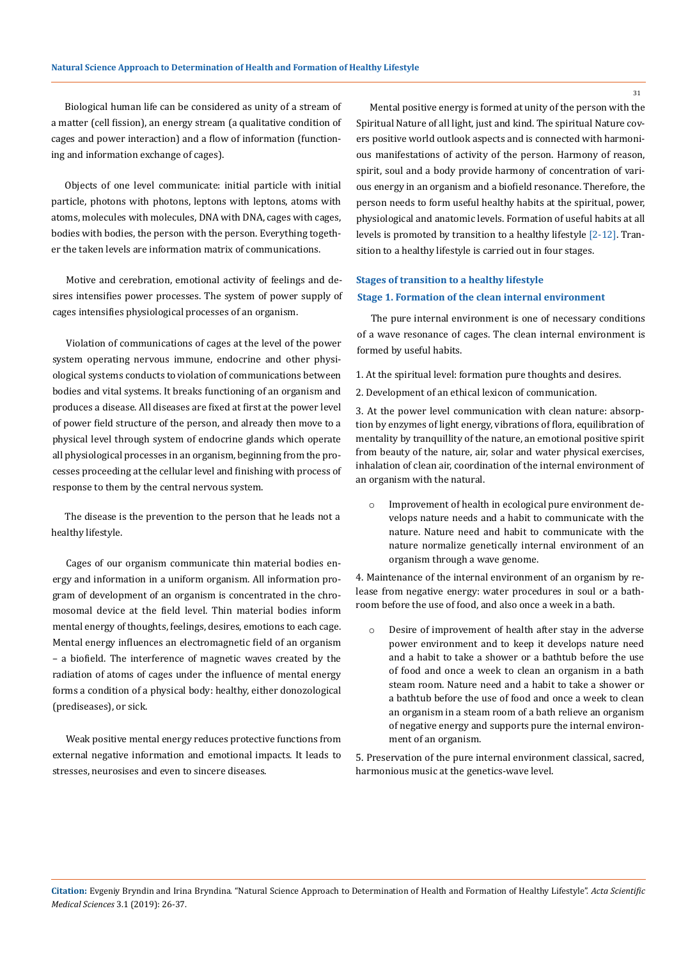Biological human life can be considered as unity of a stream of a matter (cell fission), an energy stream (a qualitative condition of cages and power interaction) and a flow of information (functioning and information exchange of cages).

Objects of one level communicate: initial particle with initial particle, photons with photons, leptons with leptons, atoms with atoms, molecules with molecules, DNA with DNA, cages with cages, bodies with bodies, the person with the person. Everything together the taken levels are information matrix of communications.

Motive and cerebration, emotional activity of feelings and desires intensifies power processes. The system of power supply of cages intensifies physiological processes of an organism.

Violation of communications of cages at the level of the power system operating nervous immune, endocrine and other physiological systems conducts to violation of communications between bodies and vital systems. It breaks functioning of an organism and produces a disease. All diseases are fixed at first at the power level of power field structure of the person, and already then move to a physical level through system of endocrine glands which operate all physiological processes in an organism, beginning from the processes proceeding at the cellular level and finishing with process of response to them by the central nervous system.

The disease is the prevention to the person that he leads not a healthy lifestyle.

Cages of our organism communicate thin material bodies energy and information in a uniform organism. All information program of development of an organism is concentrated in the chromosomal device at the field level. Thin material bodies inform mental energy of thoughts, feelings, desires, emotions to each cage. Mental energy influences an electromagnetic field of an organism – a biofield. The interference of magnetic waves created by the radiation of atoms of cages under the influence of mental energy forms a condition of a physical body: healthy, either donozological (prediseases), or sick.

Weak positive mental energy reduces protective functions from external negative information and emotional impacts. It leads to stresses, neurosises and even to sincere diseases.

Mental positive energy is formed at unity of the person with the Spiritual Nature of all light, just and kind. The spiritual Nature covers positive world outlook aspects and is connected with harmonious manifestations of activity of the person. Harmony of reason, spirit, soul and a body provide harmony of concentration of various energy in an organism and a biofield resonance. Therefore, the person needs to form useful healthy habits at the spiritual, power, physiological and anatomic levels. Formation of useful habits at all levels is promoted by transition to a healthy lifestyle [2-12]. Transition to a healthy lifestyle is carried out in four stages.

# **Stage 1. Formation of the clean internal environment Stages of transition to a healthy lifestyle**

The pure internal environment is one of necessary conditions of a wave resonance of cages. The clean internal environment is formed by useful habits.

- 1. At the spiritual level: formation pure thoughts and desires.
- 2. Development of an ethical lexicon of communication.

3. At the power level communication with clean nature: absorption by enzymes of light energy, vibrations of flora, equilibration of mentality by tranquillity of the nature, an emotional positive spirit from beauty of the nature, air, solar and water physical exercises, inhalation of clean air, coordination of the internal environment of an organism with the natural.

o Improvement of health in ecological pure environment develops nature needs and a habit to communicate with the nature. Nature need and habit to communicate with the nature normalize genetically internal environment of an organism through a wave genome.

4. Maintenance of the internal environment of an organism by release from negative energy: water procedures in soul or a bathroom before the use of food, and also once a week in a bath.

o Desire of improvement of health after stay in the adverse power environment and to keep it develops nature need and a habit to take a shower or a bathtub before the use of food and once a week to clean an organism in a bath steam room. Nature need and a habit to take a shower or a bathtub before the use of food and once a week to clean an organism in a steam room of a bath relieve an organism of negative energy and supports pure the internal environment of an organism.

5. Preservation of the pure internal environment classical, sacred, harmonious music at the genetics-wave level.

**Citation:** Evgeniy Bryndin and Irina Bryndina. "Natural Science Approach to Determination of Health and Formation of Healthy Lifestyle". *Acta Scientific Medical Sciences* 3.1 (2019): 26-37.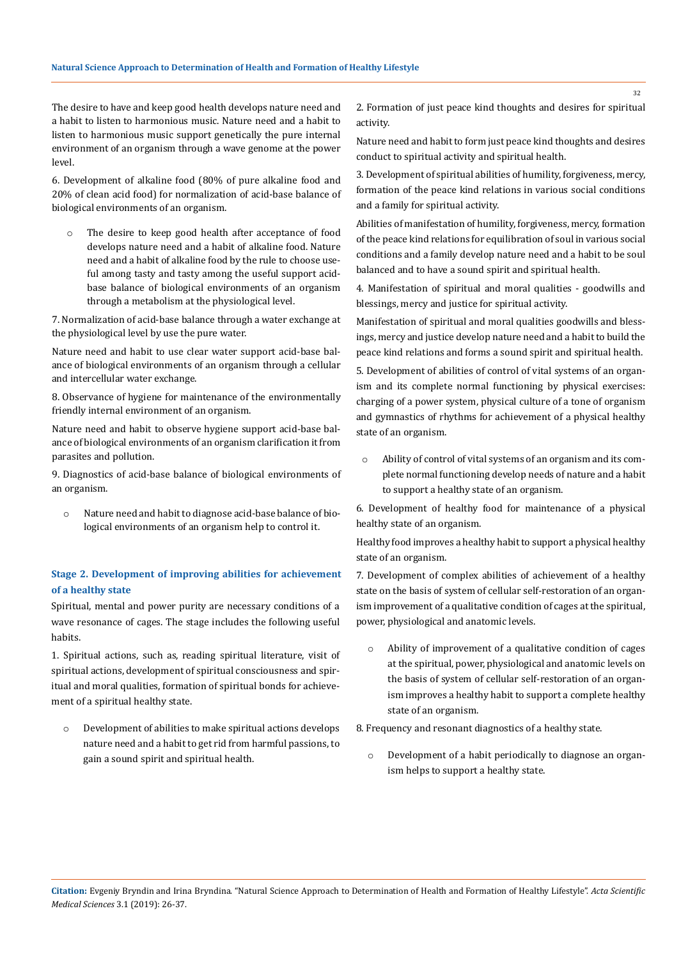The desire to have and keep good health develops nature need and a habit to listen to harmonious music. Nature need and a habit to listen to harmonious music support genetically the pure internal environment of an organism through a wave genome at the power level.

6. Development of alkaline food (80% of pure alkaline food and 20% of clean acid food) for normalization of acid-base balance of biological environments of an organism.

o The desire to keep good health after acceptance of food develops nature need and a habit of alkaline food. Nature need and a habit of alkaline food by the rule to choose useful among tasty and tasty among the useful support acidbase balance of biological environments of an organism through a metabolism at the physiological level.

7. Normalization of acid-base balance through a water exchange at the physiological level by use the pure water.

Nature need and habit to use clear water support acid-base balance of biological environments of an organism through a cellular and intercellular water exchange.

8. Observance of hygiene for maintenance of the environmentally friendly internal environment of an organism.

Nature need and habit to observe hygiene support acid-base balance of biological environments of an organism clarification it from parasites and pollution.

9. Diagnostics of acid-base balance of biological environments of an organism.

o Nature need and habit to diagnose acid-base balance of biological environments of an organism help to control it.

# **Stage 2. Development of improving abilities for achievement of a healthy state**

Spiritual, mental and power purity are necessary conditions of a wave resonance of cages. The stage includes the following useful habits.

1. Spiritual actions, such as, reading spiritual literature, visit of spiritual actions, development of spiritual consciousness and spiritual and moral qualities, formation of spiritual bonds for achievement of a spiritual healthy state.

o Development of abilities to make spiritual actions develops nature need and a habit to get rid from harmful passions, to gain a sound spirit and spiritual health.

2. Formation of just peace kind thoughts and desires for spiritual activity.

Nature need and habit to form just peace kind thoughts and desires conduct to spiritual activity and spiritual health.

3. Development of spiritual abilities of humility, forgiveness, mercy, formation of the peace kind relations in various social conditions and a family for spiritual activity.

Abilities of manifestation of humility, forgiveness, mercy, formation of the peace kind relations for equilibration of soul in various social conditions and a family develop nature need and a habit to be soul balanced and to have a sound spirit and spiritual health.

4. Manifestation of spiritual and moral qualities - goodwills and blessings, mercy and justice for spiritual activity.

Manifestation of spiritual and moral qualities goodwills and blessings, mercy and justice develop nature need and a habit to build the peace kind relations and forms a sound spirit and spiritual health.

5. Development of abilities of control of vital systems of an organism and its complete normal functioning by physical exercises: charging of a power system, physical culture of a tone of organism and gymnastics of rhythms for achievement of a physical healthy state of an organism.

o Ability of control of vital systems of an organism and its complete normal functioning develop needs of nature and a habit to support a healthy state of an organism.

6. Development of healthy food for maintenance of a physical healthy state of an organism.

Healthy food improves a healthy habit to support a physical healthy state of an organism.

7. Development of complex abilities of achievement of a healthy state on the basis of system of cellular self-restoration of an organism improvement of a qualitative condition of cages at the spiritual, power, physiological and anatomic levels.

o Ability of improvement of a qualitative condition of cages at the spiritual, power, physiological and anatomic levels on the basis of system of cellular self-restoration of an organism improves a healthy habit to support a complete healthy state of an organism.

8. Frequency and resonant diagnostics of a healthy state.

o Development of a habit periodically to diagnose an organism helps to support a healthy state.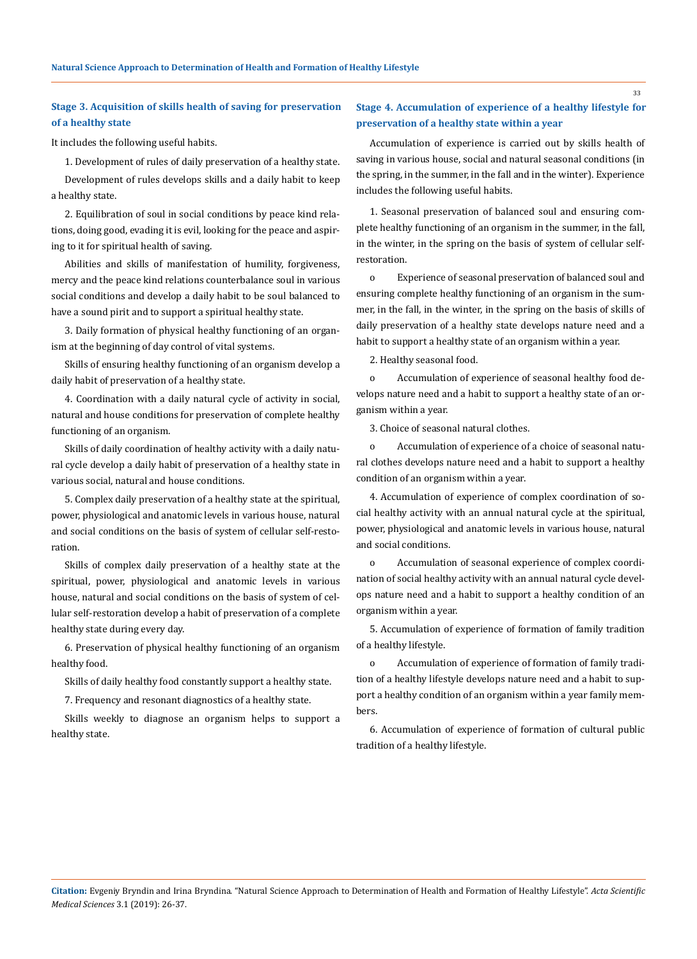## **Stage 3. Acquisition of skills health of saving for preservation of a healthy state**

It includes the following useful habits.

1. Development of rules of daily preservation of a healthy state.

Development of rules develops skills and a daily habit to keep a healthy state.

2. Equilibration of soul in social conditions by peace kind relations, doing good, evading it is evil, looking for the peace and aspiring to it for spiritual health of saving.

Abilities and skills of manifestation of humility, forgiveness, mercy and the peace kind relations counterbalance soul in various social conditions and develop a daily habit to be soul balanced to have a sound pirit and to support a spiritual healthy state.

3. Daily formation of physical healthy functioning of an organism at the beginning of day control of vital systems.

Skills of ensuring healthy functioning of an organism develop a daily habit of preservation of a healthy state.

4. Coordination with a daily natural cycle of activity in social, natural and house conditions for preservation of complete healthy functioning of an organism.

Skills of daily coordination of healthy activity with a daily natural cycle develop a daily habit of preservation of a healthy state in various social, natural and house conditions.

5. Complex daily preservation of a healthy state at the spiritual, power, physiological and anatomic levels in various house, natural and social conditions on the basis of system of cellular self-restoration.

Skills of complex daily preservation of a healthy state at the spiritual, power, physiological and anatomic levels in various house, natural and social conditions on the basis of system of cellular self-restoration develop a habit of preservation of a complete healthy state during every day.

6. Preservation of physical healthy functioning of an organism healthy food.

Skills of daily healthy food constantly support a healthy state.

7. Frequency and resonant diagnostics of a healthy state.

Skills weekly to diagnose an organism helps to support a healthy state.

## **Stage 4. Accumulation of experience of a healthy lifestyle for preservation of a healthy state within a year**

Accumulation of experience is carried out by skills health of saving in various house, social and natural seasonal conditions (in the spring, in the summer, in the fall and in the winter). Experience includes the following useful habits.

1. Seasonal preservation of balanced soul and ensuring complete healthy functioning of an organism in the summer, in the fall, in the winter, in the spring on the basis of system of cellular selfrestoration.

o Experience of seasonal preservation of balanced soul and ensuring complete healthy functioning of an organism in the summer, in the fall, in the winter, in the spring on the basis of skills of daily preservation of a healthy state develops nature need and a habit to support a healthy state of an organism within a year.

2. Healthy seasonal food.

o Accumulation of experience of seasonal healthy food develops nature need and a habit to support a healthy state of an organism within a year.

3. Choice of seasonal natural clothes.

o Accumulation of experience of a choice of seasonal natural clothes develops nature need and a habit to support a healthy condition of an organism within a year.

4. Accumulation of experience of complex coordination of social healthy activity with an annual natural cycle at the spiritual, power, physiological and anatomic levels in various house, natural and social conditions.

o Accumulation of seasonal experience of complex coordination of social healthy activity with an annual natural cycle develops nature need and a habit to support a healthy condition of an organism within a year.

5. Accumulation of experience of formation of family tradition of a healthy lifestyle.

o Accumulation of experience of formation of family tradition of a healthy lifestyle develops nature need and a habit to support a healthy condition of an organism within a year family members.

6. Accumulation of experience of formation of cultural public tradition of a healthy lifestyle.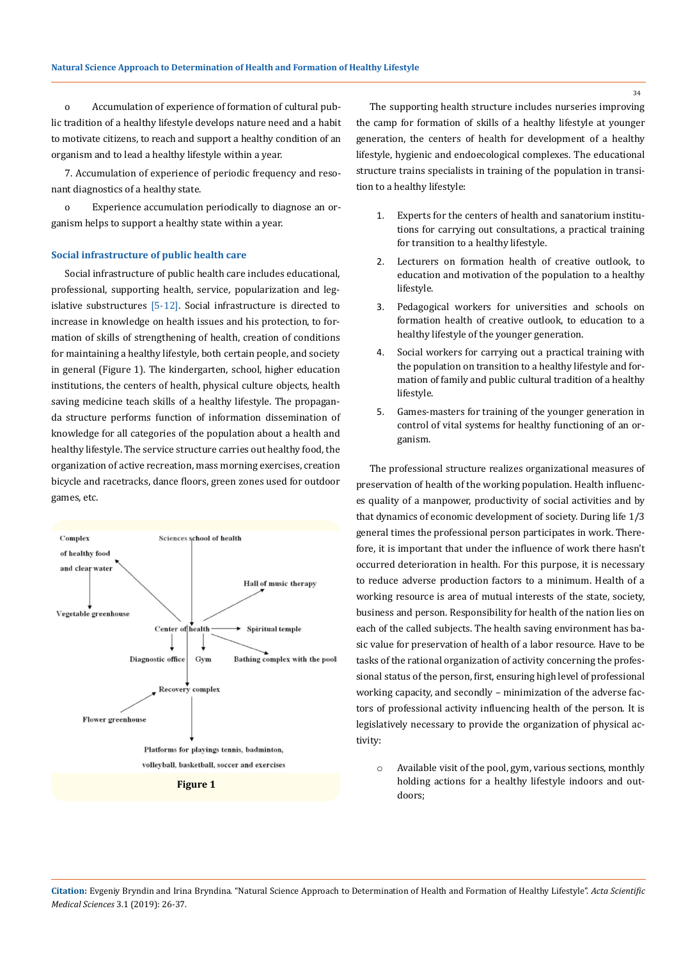o Accumulation of experience of formation of cultural public tradition of a healthy lifestyle develops nature need and a habit to motivate citizens, to reach and support a healthy condition of an organism and to lead a healthy lifestyle within a year.

7. Accumulation of experience of periodic frequency and resonant diagnostics of a healthy state.

o Experience accumulation periodically to diagnose an organism helps to support a healthy state within a year.

## **Social infrastructure of public health care**

Social infrastructure of public health care includes educational, professional, supporting health, service, popularization and legislative substructures [5-12]. Social infrastructure is directed to increase in knowledge on health issues and his protection, to formation of skills of strengthening of health, creation of conditions for maintaining a healthy lifestyle, both certain people, and society in general (Figure 1). The kindergarten, school, higher education institutions, the centers of health, physical culture objects, health saving medicine teach skills of a healthy lifestyle. The propaganda structure performs function of information dissemination of knowledge for all categories of the population about a health and healthy lifestyle. The service structure carries out healthy food, the organization of active recreation, mass morning exercises, creation bicycle and racetracks, dance floors, green zones used for outdoor games, etc.



The supporting health structure includes nurseries improving the camp for formation of skills of a healthy lifestyle at younger generation, the centers of health for development of a healthy lifestyle, hygienic and endoecological complexes. The educational structure trains specialists in training of the population in transition to a healthy lifestyle:

- 1. Experts for the centers of health and sanatorium institutions for carrying out consultations, a practical training for transition to a healthy lifestyle.
- 2. Lecturers on formation health of creative outlook, to education and motivation of the population to a healthy lifestyle.
- 3. Pedagogical workers for universities and schools on formation health of creative outlook, to education to a healthy lifestyle of the younger generation.
- 4. Social workers for carrying out a practical training with the population on transition to a healthy lifestyle and formation of family and public cultural tradition of a healthy lifestyle.
- 5. Games-masters for training of the younger generation in control of vital systems for healthy functioning of an organism.

The professional structure realizes organizational measures of preservation of health of the working population. Health influences quality of a manpower, productivity of social activities and by that dynamics of economic development of society. During life 1/3 general times the professional person participates in work. Therefore, it is important that under the influence of work there hasn't occurred deterioration in health. For this purpose, it is necessary to reduce adverse production factors to a minimum. Health of a working resource is area of mutual interests of the state, society, business and person. Responsibility for health of the nation lies on each of the called subjects. The health saving environment has basic value for preservation of health of a labor resource. Have to be tasks of the rational organization of activity concerning the professional status of the person, first, ensuring high level of professional working capacity, and secondly – minimization of the adverse factors of professional activity influencing health of the person. It is legislatively necessary to provide the organization of physical activity:

o Available visit of the pool, gym, various sections, monthly holding actions for a healthy lifestyle indoors and outdoors;

**Citation:** Evgeniy Bryndin and Irina Bryndina. "Natural Science Approach to Determination of Health and Formation of Healthy Lifestyle". *Acta Scientific Medical Sciences* 3.1 (2019): 26-37.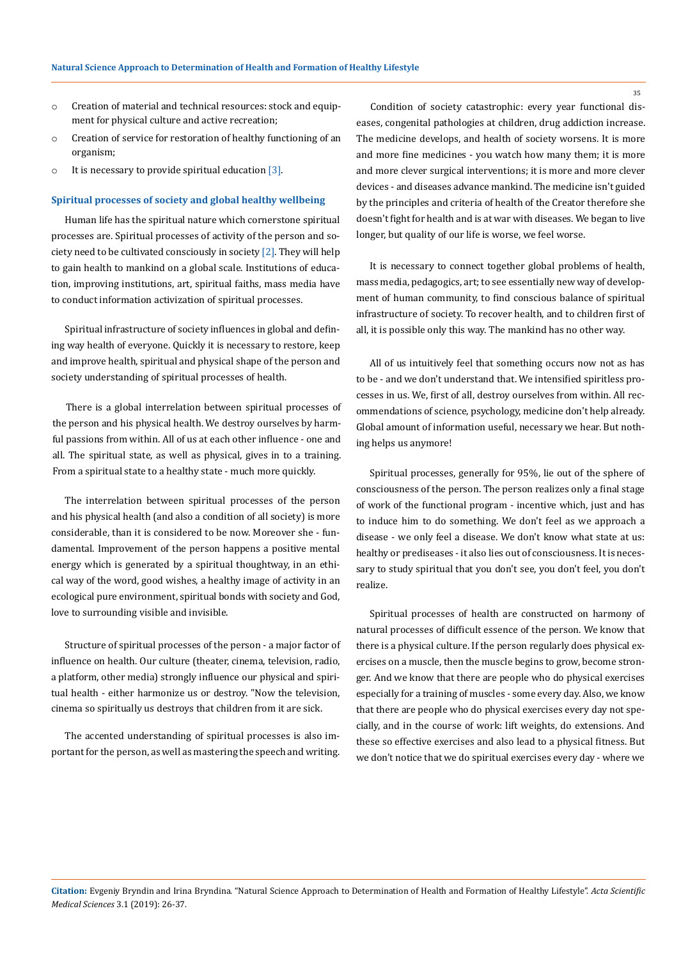- o Creation of material and technical resources: stock and equipment for physical culture and active recreation;
- o Creation of service for restoration of healthy functioning of an organism;
- $\circ$  It is necessary to provide spiritual education [3].

#### **Spiritual processes of society and global healthy wellbeing**

Human life has the spiritual nature which cornerstone spiritual processes are. Spiritual processes of activity of the person and society need to be cultivated consciously in society [2]. They will help to gain health to mankind on a global scale. Institutions of education, improving institutions, art, spiritual faiths, mass media have to conduct information activization of spiritual processes.

Spiritual infrastructure of society influences in global and defining way health of everyone. Quickly it is necessary to restore, keep and improve health, spiritual and physical shape of the person and society understanding of spiritual processes of health.

There is a global interrelation between spiritual processes of the person and his physical health. We destroy ourselves by harmful passions from within. All of us at each other influence - one and all. The spiritual state, as well as physical, gives in to a training. From a spiritual state to a healthy state - much more quickly.

The interrelation between spiritual processes of the person and his physical health (and also a condition of all society) is more considerable, than it is considered to be now. Moreover she - fundamental. Improvement of the person happens a positive mental energy which is generated by a spiritual thoughtway, in an ethical way of the word, good wishes, a healthy image of activity in an ecological pure environment, spiritual bonds with society and God, love to surrounding visible and invisible.

Structure of spiritual processes of the person - a major factor of influence on health. Our culture (theater, cinema, television, radio, a platform, other media) strongly influence our physical and spiritual health - either harmonize us or destroy. "Now the television, cinema so spiritually us destroys that children from it are sick.

The accented understanding of spiritual processes is also important for the person, as well as mastering the speech and writing.

Condition of society catastrophic: every year functional diseases, congenital pathologies at children, drug addiction increase. The medicine develops, and health of society worsens. It is more and more fine medicines - you watch how many them; it is more and more clever surgical interventions; it is more and more clever devices - and diseases advance mankind. The medicine isn't guided by the principles and criteria of health of the Creator therefore she doesn't fight for health and is at war with diseases. We began to live longer, but quality of our life is worse, we feel worse.

It is necessary to connect together global problems of health, mass media, pedagogics, art; to see essentially new way of development of human community, to find conscious balance of spiritual infrastructure of society. To recover health, and to children first of all, it is possible only this way. The mankind has no other way.

All of us intuitively feel that something occurs now not as has to be - and we don't understand that. We intensified spiritless processes in us. We, first of all, destroy ourselves from within. All recommendations of science, psychology, medicine don't help already. Global amount of information useful, necessary we hear. But nothing helps us anymore!

Spiritual processes, generally for 95%, lie out of the sphere of consciousness of the person. The person realizes only a final stage of work of the functional program - incentive which, just and has to induce him to do something. We don't feel as we approach a disease - we only feel a disease. We don't know what state at us: healthy or prediseases - it also lies out of consciousness. It is necessary to study spiritual that you don't see, you don't feel, you don't realize.

Spiritual processes of health are constructed on harmony of natural processes of difficult essence of the person. We know that there is a physical culture. If the person regularly does physical exercises on a muscle, then the muscle begins to grow, become stronger. And we know that there are people who do physical exercises especially for a training of muscles - some every day. Also, we know that there are people who do physical exercises every day not specially, and in the course of work: lift weights, do extensions. And these so effective exercises and also lead to a physical fitness. But we don't notice that we do spiritual exercises every day - where we

**Citation:** Evgeniy Bryndin and Irina Bryndina. "Natural Science Approach to Determination of Health and Formation of Healthy Lifestyle". *Acta Scientific Medical Sciences* 3.1 (2019): 26-37.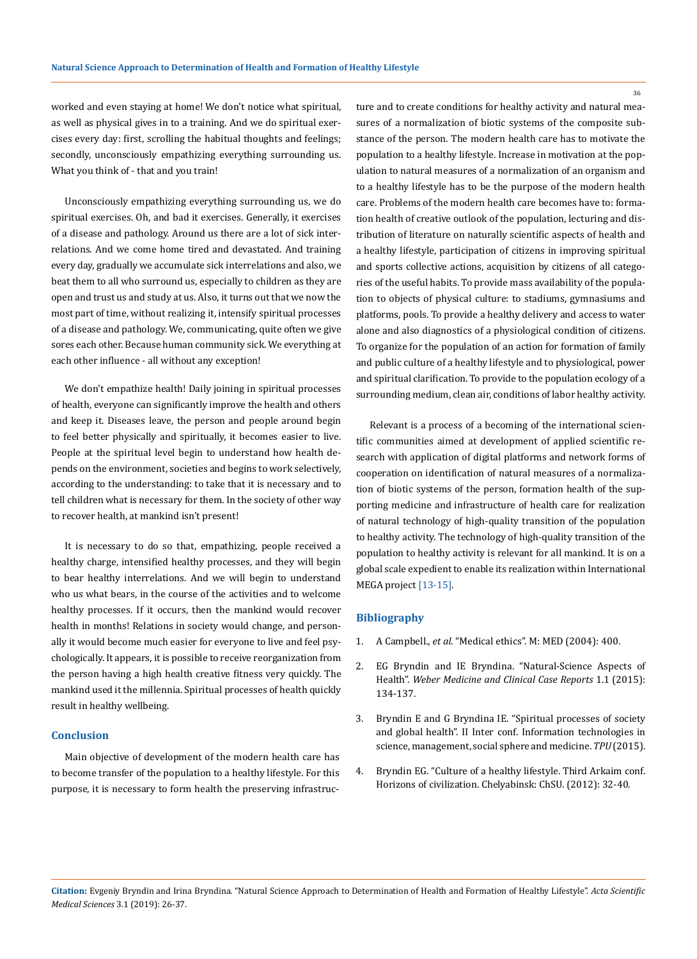worked and even staying at home! We don't notice what spiritual, as well as physical gives in to a training. And we do spiritual exercises every day: first, scrolling the habitual thoughts and feelings; secondly, unconsciously empathizing everything surrounding us. What you think of - that and you train!

Unconsciously empathizing everything surrounding us, we do spiritual exercises. Oh, and bad it exercises. Generally, it exercises of a disease and pathology. Around us there are a lot of sick interrelations. And we come home tired and devastated. And training every day, gradually we accumulate sick interrelations and also, we beat them to all who surround us, especially to children as they are open and trust us and study at us. Also, it turns out that we now the most part of time, without realizing it, intensify spiritual processes of a disease and pathology. We, communicating, quite often we give sores each other. Because human community sick. We everything at each other influence - all without any exception!

We don't empathize health! Daily joining in spiritual processes of health, everyone can significantly improve the health and others and keep it. Diseases leave, the person and people around begin to feel better physically and spiritually, it becomes easier to live. People at the spiritual level begin to understand how health depends on the environment, societies and begins to work selectively, according to the understanding: to take that it is necessary and to tell children what is necessary for them. In the society of other way to recover health, at mankind isn't present!

It is necessary to do so that, empathizing, people received a healthy charge, intensified healthy processes, and they will begin to bear healthy interrelations. And we will begin to understand who us what bears, in the course of the activities and to welcome healthy processes. If it occurs, then the mankind would recover health in months! Relations in society would change, and personally it would become much easier for everyone to live and feel psychologically. It appears, it is possible to receive reorganization from the person having a high health creative fitness very quickly. The mankind used it the millennia. Spiritual processes of health quickly result in healthy wellbeing.

#### **Conclusion**

Main objective of development of the modern health care has to become transfer of the population to a healthy lifestyle. For this purpose, it is necessary to form health the preserving infrastructure and to create conditions for healthy activity and natural measures of a normalization of biotic systems of the composite substance of the person. The modern health care has to motivate the population to a healthy lifestyle. Increase in motivation at the population to natural measures of a normalization of an organism and to a healthy lifestyle has to be the purpose of the modern health care. Problems of the modern health care becomes have to: formation health of creative outlook of the population, lecturing and distribution of literature on naturally scientific aspects of health and a healthy lifestyle, participation of citizens in improving spiritual and sports collective actions, acquisition by citizens of all categories of the useful habits. To provide mass availability of the population to objects of physical culture: to stadiums, gymnasiums and platforms, pools. To provide a healthy delivery and access to water alone and also diagnostics of a physiological condition of citizens. To organize for the population of an action for formation of family and public culture of a healthy lifestyle and to physiological, power and spiritual clarification. To provide to the population ecology of a surrounding medium, clean air, conditions of labor healthy activity.

Relevant is a process of a becoming of the international scientific communities aimed at development of applied scientific research with application of digital platforms and network forms of cooperation on identification of natural measures of a normalization of biotic systems of the person, formation health of the supporting medicine and infrastructure of health care for realization of natural technology of high-quality transition of the population to healthy activity. The technology of high-quality transition of the population to healthy activity is relevant for all mankind. It is on a global scale expedient to enable its realization within International MEGA project [13-15].

### **Bibliography**

- 1. A Campbell., *et al*. "Medical ethics". M: MED (2004): 400.
- 2. EG Bryndin and IE Bryndina. "Natural-Science Aspects of Health". *Weber Medicine and Clinical Case Reports* 1.1 (2015): 134-137.
- 3. Bryndin E and G Bryndina IE. "Spiritual processes of society and global health". II Inter conf. Information technologies in science, management, social sphere and medicine. *TPU* (2015).
- 4. Bryndin EG. "Culture of a healthy lifestyle. Third Arkaim conf. Horizons of civilization. Chelyabinsk: ChSU. (2012): 32-40.

**Citation:** Evgeniy Bryndin and Irina Bryndina. "Natural Science Approach to Determination of Health and Formation of Healthy Lifestyle". *Acta Scientific Medical Sciences* 3.1 (2019): 26-37.